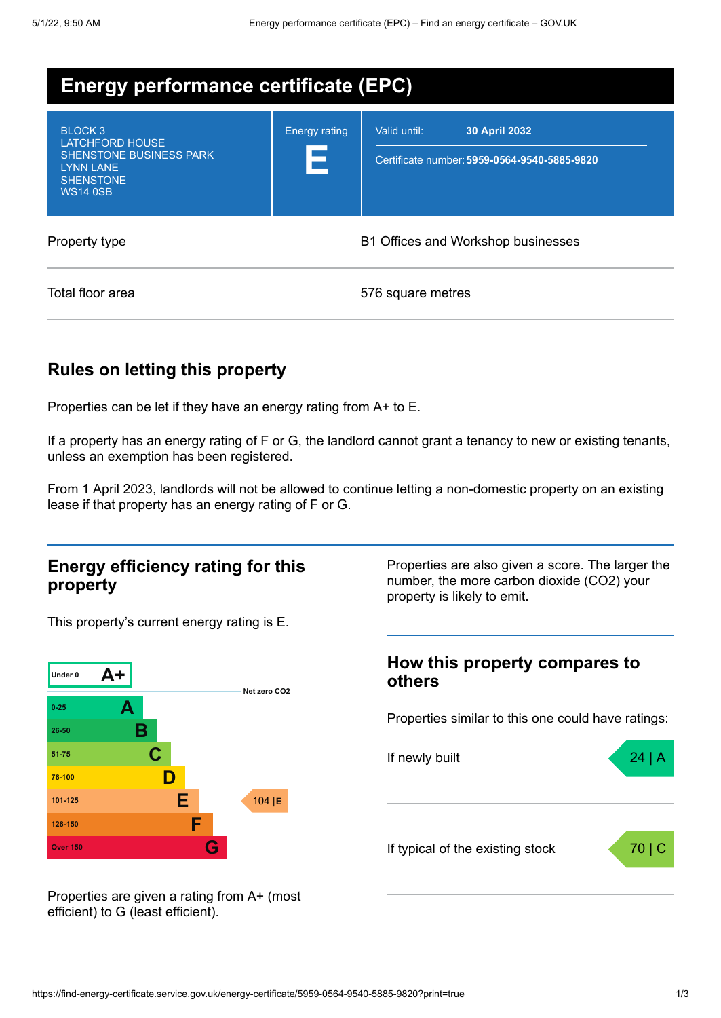| <b>Energy performance certificate (EPC)</b>                                                                                        |                                    |                                                                               |
|------------------------------------------------------------------------------------------------------------------------------------|------------------------------------|-------------------------------------------------------------------------------|
| BLOCK <sub>3</sub><br>LATCHFORD HOUSE<br><b>SHENSTONE BUSINESS PARK</b><br><b>LYNN LANE</b><br><b>SHENSTONE</b><br><b>WS14 0SB</b> | <b>Energy rating</b><br>Е          | Valid until:<br>30 April 2032<br>Certificate number: 5959-0564-9540-5885-9820 |
| Property type                                                                                                                      | B1 Offices and Workshop businesses |                                                                               |
| Total floor area                                                                                                                   |                                    | 576 square metres                                                             |

# **Rules on letting this property**

Properties can be let if they have an energy rating from A+ to E.

If a property has an energy rating of F or G, the landlord cannot grant a tenancy to new or existing tenants, unless an exemption has been registered.

From 1 April 2023, landlords will not be allowed to continue letting a non-domestic property on an existing lease if that property has an energy rating of F or G.

### **Energy efficiency rating for this property**

This property's current energy rating is E.



Properties are also given a score. The larger the number, the more carbon dioxide (CO2) your property is likely to emit.

### **How this property compares to others**

Properties similar to this one could have ratings:



Properties are given a rating from A+ (most efficient) to G (least efficient).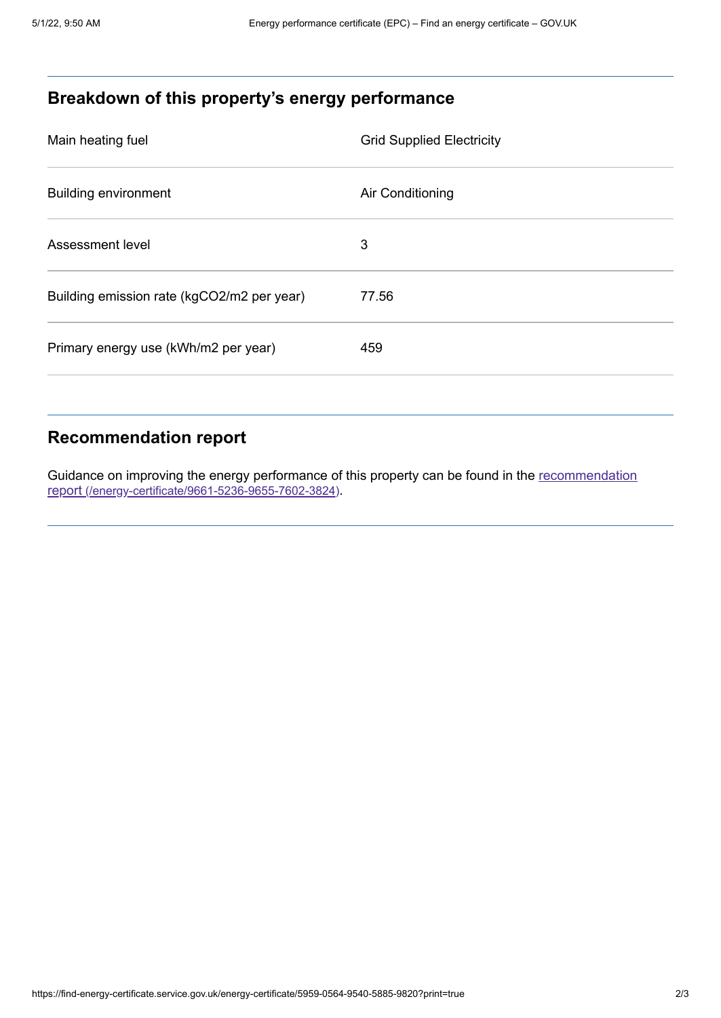# **Breakdown of this property's energy performance**

| Main heating fuel                          | <b>Grid Supplied Electricity</b> |
|--------------------------------------------|----------------------------------|
| <b>Building environment</b>                | Air Conditioning                 |
| Assessment level                           | 3                                |
| Building emission rate (kgCO2/m2 per year) | 77.56                            |
| Primary energy use (kWh/m2 per year)       | 459                              |

## **Recommendation report**

Guidance on improving the energy performance of this property can be found in the recommendation report [\(/energy-certificate/9661-5236-9655-7602-3824\)](https://find-energy-certificate.service.gov.uk/energy-certificate/9661-5236-9655-7602-3824).